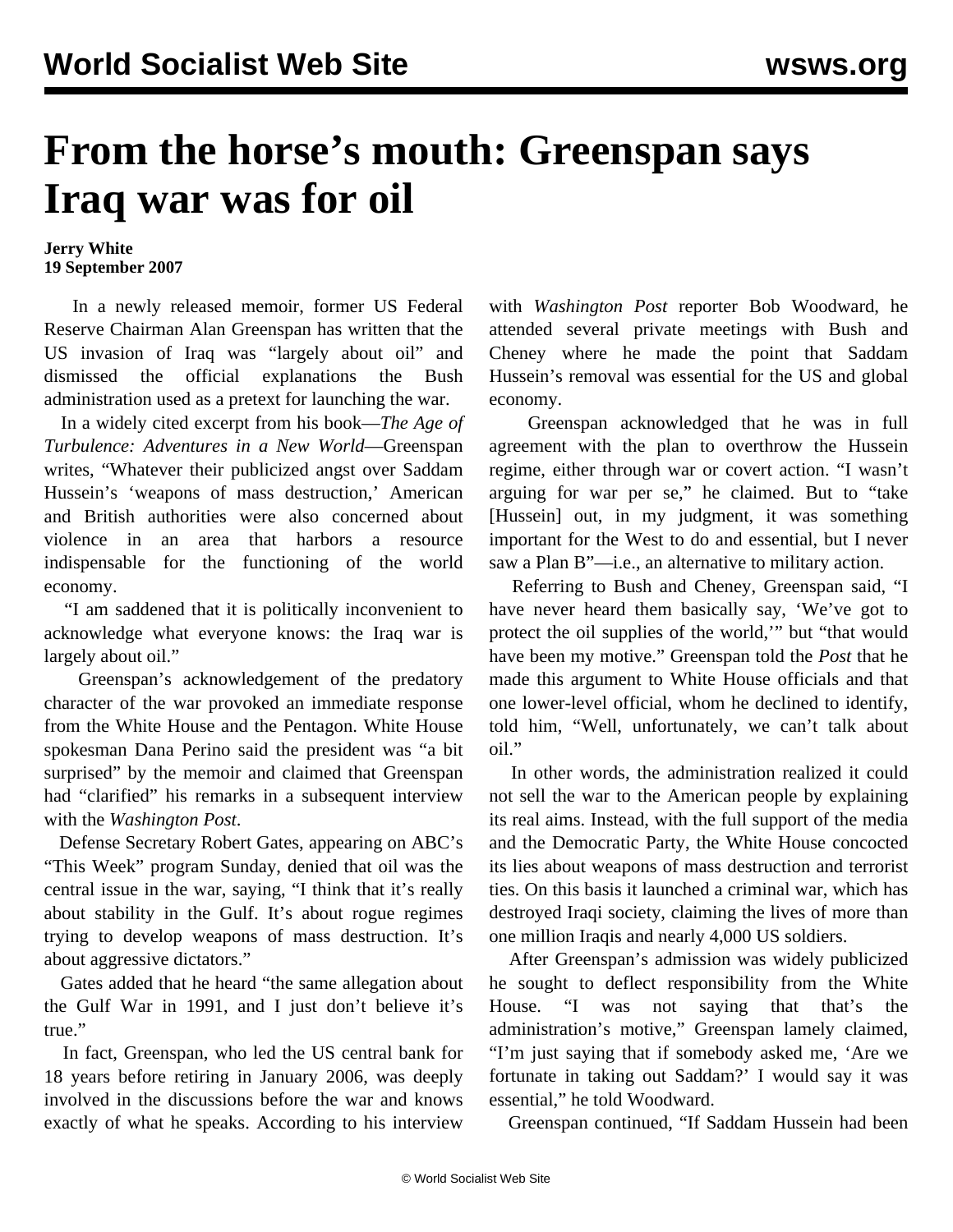## **From the horse's mouth: Greenspan says Iraq war was for oil**

## **Jerry White 19 September 2007**

 In a newly released memoir, former US Federal Reserve Chairman Alan Greenspan has written that the US invasion of Iraq was "largely about oil" and dismissed the official explanations the Bush administration used as a pretext for launching the war.

 In a widely cited excerpt from his book—*The Age of Turbulence: Adventures in a New World*—Greenspan writes, "Whatever their publicized angst over Saddam Hussein's 'weapons of mass destruction,' American and British authorities were also concerned about violence in an area that harbors a resource indispensable for the functioning of the world economy.

 "I am saddened that it is politically inconvenient to acknowledge what everyone knows: the Iraq war is largely about oil."

 Greenspan's acknowledgement of the predatory character of the war provoked an immediate response from the White House and the Pentagon. White House spokesman Dana Perino said the president was "a bit surprised" by the memoir and claimed that Greenspan had "clarified" his remarks in a subsequent interview with the *Washington Post*.

 Defense Secretary Robert Gates, appearing on ABC's "This Week" program Sunday, denied that oil was the central issue in the war, saying, "I think that it's really about stability in the Gulf. It's about rogue regimes trying to develop weapons of mass destruction. It's about aggressive dictators."

 Gates added that he heard "the same allegation about the Gulf War in 1991, and I just don't believe it's true."

 In fact, Greenspan, who led the US central bank for 18 years before retiring in January 2006, was deeply involved in the discussions before the war and knows exactly of what he speaks. According to his interview

with *Washington Post* reporter Bob Woodward, he attended several private meetings with Bush and Cheney where he made the point that Saddam Hussein's removal was essential for the US and global economy.

 Greenspan acknowledged that he was in full agreement with the plan to overthrow the Hussein regime, either through war or covert action. "I wasn't arguing for war per se," he claimed. But to "take [Hussein] out, in my judgment, it was something important for the West to do and essential, but I never saw a Plan B"—i.e., an alternative to military action.

 Referring to Bush and Cheney, Greenspan said, "I have never heard them basically say, 'We've got to protect the oil supplies of the world,'" but "that would have been my motive." Greenspan told the *Post* that he made this argument to White House officials and that one lower-level official, whom he declined to identify, told him, "Well, unfortunately, we can't talk about oil."

 In other words, the administration realized it could not sell the war to the American people by explaining its real aims. Instead, with the full support of the media and the Democratic Party, the White House concocted its lies about weapons of mass destruction and terrorist ties. On this basis it launched a criminal war, which has destroyed Iraqi society, claiming the lives of more than one million Iraqis and nearly 4,000 US soldiers.

 After Greenspan's admission was widely publicized he sought to deflect responsibility from the White House. "I was not saying that that's the administration's motive," Greenspan lamely claimed, "I'm just saying that if somebody asked me, 'Are we fortunate in taking out Saddam?' I would say it was essential," he told Woodward.

Greenspan continued, "If Saddam Hussein had been